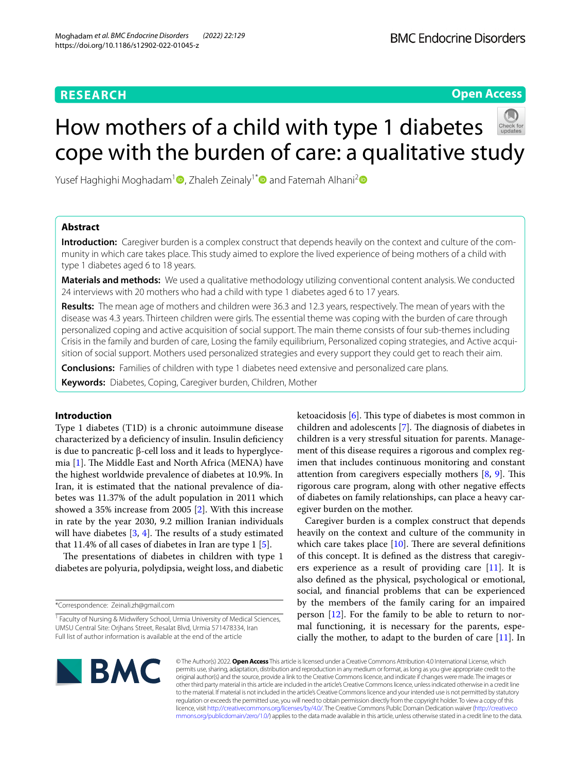# **RESEARCH**

# **Open Access**

# How mothers of a child with type 1 diabetes cope with the burden of care: a qualitative study

Yusef Haghighi Moghadam<sup>1</sup> [,](http://orcid.org/0000-0001-8211-8886) Zhaleh Zeinaly<sup>1\*</sup> and Fatemah Alhani<sup>2</sup>

# **Abstract**

**Introduction:** Caregiver burden is a complex construct that depends heavily on the context and culture of the community in which care takes place. This study aimed to explore the lived experience of being mothers of a child with type 1 diabetes aged 6 to 18 years.

**Materials and methods:** We used a qualitative methodology utilizing conventional content analysis. We conducted 24 interviews with 20 mothers who had a child with type 1 diabetes aged 6 to 17 years.

**Results:** The mean age of mothers and children were 36.3 and 12.3 years, respectively. The mean of years with the disease was 4.3 years. Thirteen children were girls. The essential theme was coping with the burden of care through personalized coping and active acquisition of social support. The main theme consists of four sub-themes including Crisis in the family and burden of care, Losing the family equilibrium, Personalized coping strategies, and Active acquisition of social support. Mothers used personalized strategies and every support they could get to reach their aim.

**Conclusions:** Families of children with type 1 diabetes need extensive and personalized care plans.

**Keywords:** Diabetes, Coping, Caregiver burden, Children, Mother

# **Introduction**

Type 1 diabetes (T1D) is a chronic autoimmune disease characterized by a defciency of insulin. Insulin defciency is due to pancreatic β-cell loss and it leads to hyperglycemia  $[1]$  $[1]$ . The Middle East and North Africa (MENA) have the highest worldwide prevalence of diabetes at 10.9%. In Iran, it is estimated that the national prevalence of diabetes was 11.37% of the adult population in 2011 which showed a 35% increase from 2005 [\[2](#page-6-1)]. With this increase in rate by the year 2030, 9.2 million Iranian individuals will have diabetes  $[3, 4]$  $[3, 4]$  $[3, 4]$  $[3, 4]$ . The results of a study estimated that 11.4% of all cases of diabetes in Iran are type 1 [\[5](#page-6-4)].

The presentations of diabetes in children with type 1 diabetes are polyuria, polydipsia, weight loss, and diabetic

\*Correspondence: Zeinali.zh@gmail.com

ketoacidosis  $[6]$  $[6]$ . This type of diabetes is most common in children and adolescents [[7\]](#page-6-6). The diagnosis of diabetes in children is a very stressful situation for parents. Management of this disease requires a rigorous and complex regimen that includes continuous monitoring and constant attention from caregivers especially mothers  $[8, 9]$  $[8, 9]$  $[8, 9]$  $[8, 9]$  $[8, 9]$ . This rigorous care program, along with other negative efects of diabetes on family relationships, can place a heavy caregiver burden on the mother.

Caregiver burden is a complex construct that depends heavily on the context and culture of the community in which care takes place  $[10]$  $[10]$  $[10]$ . There are several definitions of this concept. It is defned as the distress that caregivers experience as a result of providing care [\[11](#page-6-10)]. It is also defned as the physical, psychological or emotional, social, and fnancial problems that can be experienced by the members of the family caring for an impaired person [[12](#page-6-11)]. For the family to be able to return to normal functioning, it is necessary for the parents, especially the mother, to adapt to the burden of care [\[11](#page-6-10)]. In



© The Author(s) 2022. **Open Access** This article is licensed under a Creative Commons Attribution 4.0 International License, which permits use, sharing, adaptation, distribution and reproduction in any medium or format, as long as you give appropriate credit to the original author(s) and the source, provide a link to the Creative Commons licence, and indicate if changes were made. The images or other third party material in this article are included in the article's Creative Commons licence, unless indicated otherwise in a credit line to the material. If material is not included in the article's Creative Commons licence and your intended use is not permitted by statutory regulation or exceeds the permitted use, you will need to obtain permission directly from the copyright holder. To view a copy of this licence, visit [http://creativecommons.org/licenses/by/4.0/.](http://creativecommons.org/licenses/by/4.0/) The Creative Commons Public Domain Dedication waiver ([http://creativeco](http://creativecommons.org/publicdomain/zero/1.0/) [mmons.org/publicdomain/zero/1.0/](http://creativecommons.org/publicdomain/zero/1.0/)) applies to the data made available in this article, unless otherwise stated in a credit line to the data.

<sup>&</sup>lt;sup>1</sup> Faculty of Nursing & Midwifery School, Urmia University of Medical Sciences, UMSU Central Site: Orjhans Street, Resalat Blvd, Urmia 571478334, Iran Full list of author information is available at the end of the article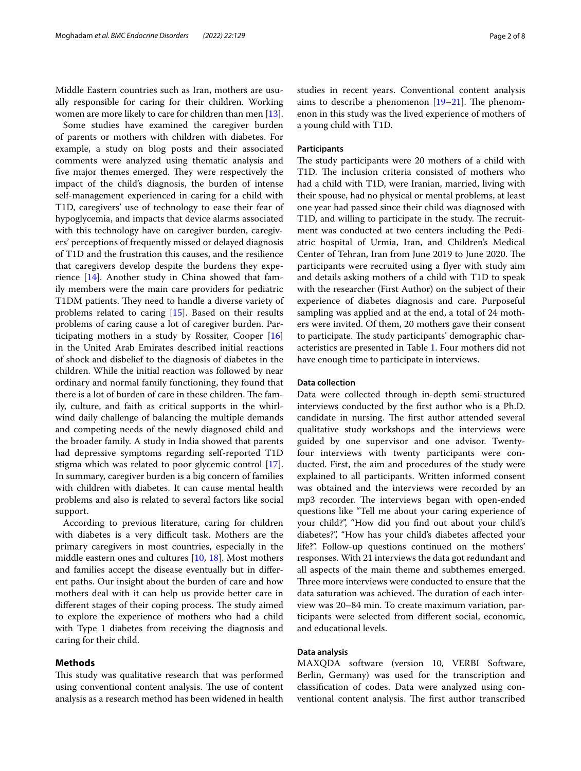Middle Eastern countries such as Iran, mothers are usually responsible for caring for their children. Working women are more likely to care for children than men [\[13](#page-6-12)].

Some studies have examined the caregiver burden of parents or mothers with children with diabetes. For example, a study on blog posts and their associated comments were analyzed using thematic analysis and five major themes emerged. They were respectively the impact of the child's diagnosis, the burden of intense self-management experienced in caring for a child with T1D, caregivers' use of technology to ease their fear of hypoglycemia, and impacts that device alarms associated with this technology have on caregiver burden, caregivers' perceptions of frequently missed or delayed diagnosis of T1D and the frustration this causes, and the resilience that caregivers develop despite the burdens they experience [\[14](#page-6-13)]. Another study in China showed that family members were the main care providers for pediatric T1DM patients. They need to handle a diverse variety of problems related to caring [\[15\]](#page-6-14). Based on their results problems of caring cause a lot of caregiver burden. Participating mothers in a study by Rossiter, Cooper [[16](#page-6-15)] in the United Arab Emirates described initial reactions of shock and disbelief to the diagnosis of diabetes in the children. While the initial reaction was followed by near ordinary and normal family functioning, they found that there is a lot of burden of care in these children. The family, culture, and faith as critical supports in the whirlwind daily challenge of balancing the multiple demands and competing needs of the newly diagnosed child and the broader family. A study in India showed that parents had depressive symptoms regarding self-reported T1D stigma which was related to poor glycemic control [\[17](#page-6-16)]. In summary, caregiver burden is a big concern of families with children with diabetes. It can cause mental health problems and also is related to several factors like social support.

According to previous literature, caring for children with diabetes is a very difficult task. Mothers are the primary caregivers in most countries, especially in the middle eastern ones and cultures [\[10](#page-6-9), [18](#page-7-0)]. Most mothers and families accept the disease eventually but in diferent paths. Our insight about the burden of care and how mothers deal with it can help us provide better care in different stages of their coping process. The study aimed to explore the experience of mothers who had a child with Type 1 diabetes from receiving the diagnosis and caring for their child.

# **Methods**

This study was qualitative research that was performed using conventional content analysis. The use of content analysis as a research method has been widened in health studies in recent years. Conventional content analysis aims to describe a phenomenon  $[19-21]$  $[19-21]$  $[19-21]$ . The phenomenon in this study was the lived experience of mothers of a young child with T1D.

# **Participants**

The study participants were 20 mothers of a child with T1D. The inclusion criteria consisted of mothers who had a child with T1D, were Iranian, married, living with their spouse, had no physical or mental problems, at least one year had passed since their child was diagnosed with T1D, and willing to participate in the study. The recruitment was conducted at two centers including the Pediatric hospital of Urmia, Iran, and Children's Medical Center of Tehran, Iran from June 2019 to June 2020. The participants were recruited using a fyer with study aim and details asking mothers of a child with T1D to speak with the researcher (First Author) on the subject of their experience of diabetes diagnosis and care. Purposeful sampling was applied and at the end, a total of 24 mothers were invited. Of them, 20 mothers gave their consent to participate. The study participants' demographic characteristics are presented in Table [1](#page-2-0). Four mothers did not have enough time to participate in interviews.

## **Data collection**

Data were collected through in-depth semi-structured interviews conducted by the frst author who is a Ph.D. candidate in nursing. The first author attended several qualitative study workshops and the interviews were guided by one supervisor and one advisor. Twentyfour interviews with twenty participants were conducted. First, the aim and procedures of the study were explained to all participants. Written informed consent was obtained and the interviews were recorded by an mp3 recorder. The interviews began with open-ended questions like "Tell me about your caring experience of your child?", "How did you fnd out about your child's diabetes?", "How has your child's diabetes afected your life?". Follow-up questions continued on the mothers' responses. With 21 interviews the data got redundant and all aspects of the main theme and subthemes emerged. Three more interviews were conducted to ensure that the data saturation was achieved. The duration of each interview was 20–84 min. To create maximum variation, participants were selected from diferent social, economic, and educational levels.

# **Data analysis**

MAXQDA software (version 10, VERBI Software, Berlin, Germany) was used for the transcription and classifcation of codes. Data were analyzed using conventional content analysis. The first author transcribed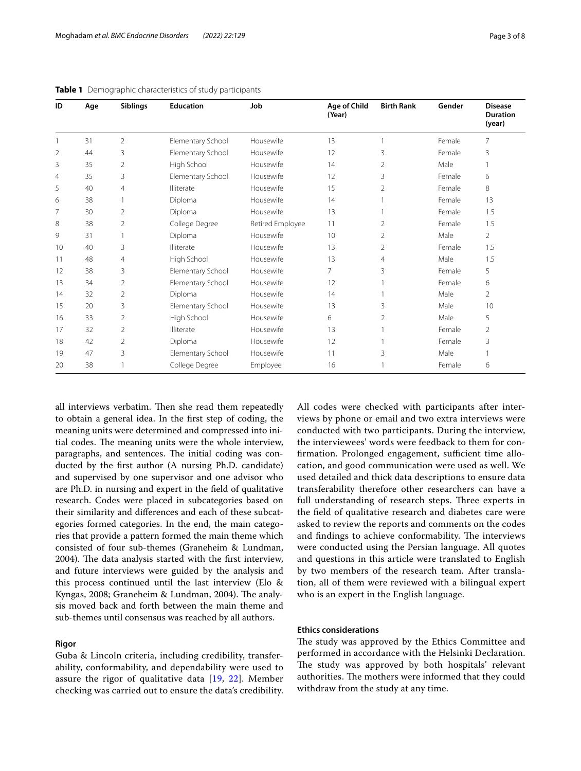| ID             | Age | <b>Siblings</b> | <b>Education</b>  | Job              | Age of Child<br>(Year) | <b>Birth Rank</b> | Gender | <b>Disease</b><br><b>Duration</b><br>(year) |
|----------------|-----|-----------------|-------------------|------------------|------------------------|-------------------|--------|---------------------------------------------|
|                | 31  | 2               | Elementary School | Housewife        | 13                     |                   | Female | $\overline{7}$                              |
| $\overline{2}$ | 44  | 3               | Elementary School | Housewife        | 12                     | 3                 | Female | 3                                           |
| 3              | 35  | $\overline{2}$  | High School       | Housewife        | 14                     | $\overline{2}$    | Male   |                                             |
| 4              | 35  | 3               | Elementary School | Housewife        | 12                     | 3                 | Female | 6                                           |
| 5              | 40  | $\overline{4}$  | Illiterate        | Housewife        | 15                     | 2                 | Female | 8                                           |
| 6              | 38  |                 | Diploma           | Housewife        | 14                     |                   | Female | 13                                          |
| 7              | 30  | $\overline{2}$  | Diploma           | Housewife        | 13                     | $\mathbf{1}$      | Female | 1.5                                         |
| 8              | 38  | 2               | College Degree    | Retired Employee | 11                     | $\overline{2}$    | Female | 1.5                                         |
| 9              | 31  | 1               | Diploma           | Housewife        | 10                     | $\overline{2}$    | Male   | $\overline{2}$                              |
| 10             | 40  | 3               | Illiterate        | Housewife        | 13                     | 2                 | Female | 1.5                                         |
| 11             | 48  | $\overline{4}$  | High School       | Housewife        | 13                     | 4                 | Male   | 1.5                                         |
| 12             | 38  | 3               | Elementary School | Housewife        | $\overline{7}$         | 3                 | Female | 5                                           |
| 13             | 34  | 2               | Elementary School | Housewife        | 12                     |                   | Female | 6                                           |
| 14             | 32  | $\overline{2}$  | Diploma           | Housewife        | 14                     |                   | Male   | $\mathcal{P}$                               |
| 15             | 20  | 3               | Elementary School | Housewife        | 13                     | 3                 | Male   | 10                                          |
| 16             | 33  | 2               | High School       | Housewife        | 6                      | 2                 | Male   | 5                                           |
| 17             | 32  | $\overline{2}$  | Illiterate        | Housewife        | 13                     |                   | Female | $\overline{2}$                              |
| 18             | 42  | 2               | Diploma           | Housewife        | 12                     |                   | Female | 3                                           |
| 19             | 47  | 3               | Elementary School | Housewife        | 11                     | 3                 | Male   |                                             |
| 20             | 38  |                 | College Degree    | Employee         | 16                     |                   | Female | 6                                           |

<span id="page-2-0"></span>**Table 1** Demographic characteristics of study participants

all interviews verbatim. Then she read them repeatedly to obtain a general idea. In the frst step of coding, the meaning units were determined and compressed into initial codes. The meaning units were the whole interview, paragraphs, and sentences. The initial coding was conducted by the frst author (A nursing Ph.D. candidate) and supervised by one supervisor and one advisor who are Ph.D. in nursing and expert in the feld of qualitative research. Codes were placed in subcategories based on their similarity and diferences and each of these subcategories formed categories. In the end, the main categories that provide a pattern formed the main theme which consisted of four sub-themes (Graneheim & Lundman, 2004). The data analysis started with the first interview, and future interviews were guided by the analysis and this process continued until the last interview (Elo & Kyngas, 2008; Graneheim & Lundman, 2004). The analysis moved back and forth between the main theme and sub-themes until consensus was reached by all authors.

# **Rigor**

Guba & Lincoln criteria, including credibility, transferability, conformability, and dependability were used to assure the rigor of qualitative data [[19,](#page-7-1) [22\]](#page-7-3). Member checking was carried out to ensure the data's credibility. All codes were checked with participants after interviews by phone or email and two extra interviews were conducted with two participants. During the interview, the interviewees' words were feedback to them for confirmation. Prolonged engagement, sufficient time allocation, and good communication were used as well. We used detailed and thick data descriptions to ensure data transferability therefore other researchers can have a full understanding of research steps. Three experts in the feld of qualitative research and diabetes care were asked to review the reports and comments on the codes and findings to achieve conformability. The interviews were conducted using the Persian language. All quotes and questions in this article were translated to English by two members of the research team. After translation, all of them were reviewed with a bilingual expert who is an expert in the English language.

## **Ethics considerations**

The study was approved by the Ethics Committee and performed in accordance with the Helsinki Declaration. The study was approved by both hospitals' relevant authorities. The mothers were informed that they could withdraw from the study at any time.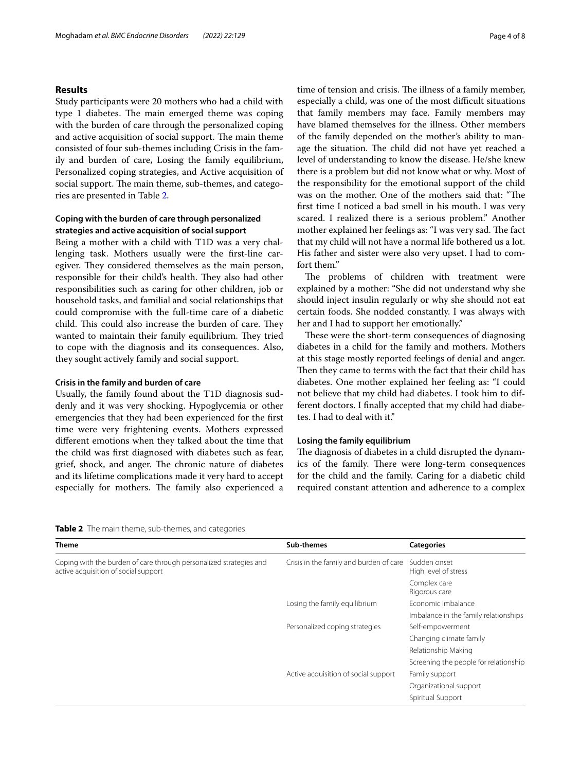# **Results**

Study participants were 20 mothers who had a child with type 1 diabetes. The main emerged theme was coping with the burden of care through the personalized coping and active acquisition of social support. The main theme consisted of four sub-themes including Crisis in the family and burden of care, Losing the family equilibrium, Personalized coping strategies, and Active acquisition of social support. The main theme, sub-themes, and categories are presented in Table [2](#page-3-0).

# **Coping with the burden of care through personalized strategies and active acquisition of social support**

Being a mother with a child with T1D was a very challenging task. Mothers usually were the frst-line caregiver. They considered themselves as the main person, responsible for their child's health. They also had other responsibilities such as caring for other children, job or household tasks, and familial and social relationships that could compromise with the full-time care of a diabetic child. This could also increase the burden of care. They wanted to maintain their family equilibrium. They tried to cope with the diagnosis and its consequences. Also, they sought actively family and social support.

# **Crisis in the family and burden of care**

Usually, the family found about the T1D diagnosis suddenly and it was very shocking. Hypoglycemia or other emergencies that they had been experienced for the frst time were very frightening events. Mothers expressed diferent emotions when they talked about the time that the child was frst diagnosed with diabetes such as fear, grief, shock, and anger. The chronic nature of diabetes and its lifetime complications made it very hard to accept especially for mothers. The family also experienced a time of tension and crisis. The illness of a family member, especially a child, was one of the most difficult situations that family members may face. Family members may have blamed themselves for the illness. Other members of the family depended on the mother's ability to manage the situation. The child did not have yet reached a level of understanding to know the disease. He/she knew there is a problem but did not know what or why. Most of the responsibility for the emotional support of the child was on the mother. One of the mothers said that: "The frst time I noticed a bad smell in his mouth. I was very scared. I realized there is a serious problem." Another mother explained her feelings as: "I was very sad. The fact that my child will not have a normal life bothered us a lot. His father and sister were also very upset. I had to comfort them."

The problems of children with treatment were explained by a mother: "She did not understand why she should inject insulin regularly or why she should not eat certain foods. She nodded constantly. I was always with her and I had to support her emotionally."

These were the short-term consequences of diagnosing diabetes in a child for the family and mothers. Mothers at this stage mostly reported feelings of denial and anger. Then they came to terms with the fact that their child has diabetes. One mother explained her feeling as: "I could not believe that my child had diabetes. I took him to different doctors. I fnally accepted that my child had diabetes. I had to deal with it."

### **Losing the family equilibrium**

The diagnosis of diabetes in a child disrupted the dynamics of the family. There were long-term consequences for the child and the family. Caring for a diabetic child required constant attention and adherence to a complex

<span id="page-3-0"></span>**Table 2** The main theme, sub-themes, and categories

| Theme                                                                                                      | Sub-themes                              | <b>Categories</b>                     |  |
|------------------------------------------------------------------------------------------------------------|-----------------------------------------|---------------------------------------|--|
| Coping with the burden of care through personalized strategies and<br>active acquisition of social support | Crisis in the family and burden of care | Sudden onset<br>High level of stress  |  |
|                                                                                                            |                                         | Complex care<br>Rigorous care         |  |
|                                                                                                            | Losing the family equilibrium           | Economic imbalance                    |  |
|                                                                                                            |                                         | Imbalance in the family relationships |  |
|                                                                                                            | Personalized coping strategies          | Self-empowerment                      |  |
|                                                                                                            |                                         | Changing climate family               |  |
|                                                                                                            |                                         | Relationship Making                   |  |
|                                                                                                            |                                         | Screening the people for relationship |  |
|                                                                                                            | Active acquisition of social support    | Family support                        |  |
|                                                                                                            |                                         | Organizational support                |  |
|                                                                                                            |                                         | Spiritual Support                     |  |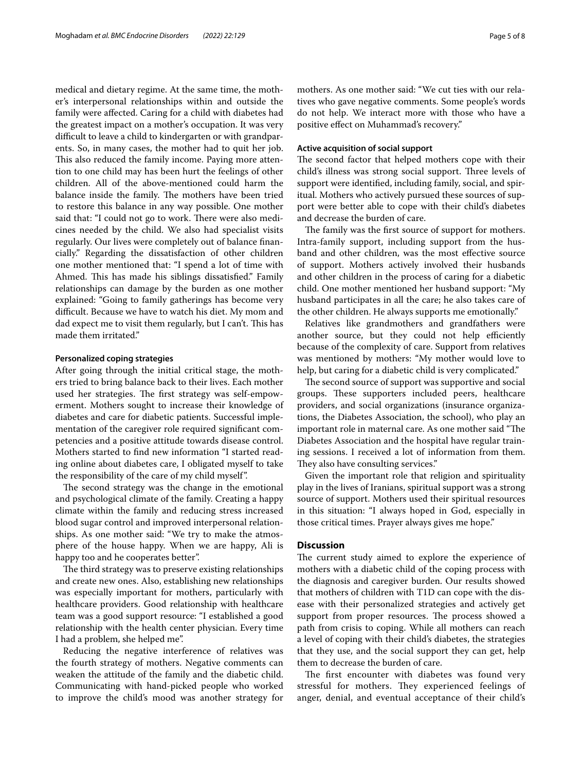medical and dietary regime. At the same time, the mother's interpersonal relationships within and outside the family were afected. Caring for a child with diabetes had the greatest impact on a mother's occupation. It was very difficult to leave a child to kindergarten or with grandparents. So, in many cases, the mother had to quit her job. This also reduced the family income. Paying more attention to one child may has been hurt the feelings of other children. All of the above-mentioned could harm the balance inside the family. The mothers have been tried to restore this balance in any way possible. One mother said that: "I could not go to work. There were also medicines needed by the child. We also had specialist visits regularly. Our lives were completely out of balance fnancially." Regarding the dissatisfaction of other children one mother mentioned that: "I spend a lot of time with Ahmed. This has made his siblings dissatisfied." Family relationships can damage by the burden as one mother explained: "Going to family gatherings has become very difficult. Because we have to watch his diet. My mom and dad expect me to visit them regularly, but I can't. This has made them irritated."

#### **Personalized coping strategies**

After going through the initial critical stage, the mothers tried to bring balance back to their lives. Each mother used her strategies. The first strategy was self-empowerment. Mothers sought to increase their knowledge of diabetes and care for diabetic patients. Successful implementation of the caregiver role required signifcant competencies and a positive attitude towards disease control. Mothers started to fnd new information "I started reading online about diabetes care, I obligated myself to take the responsibility of the care of my child myself".

The second strategy was the change in the emotional and psychological climate of the family. Creating a happy climate within the family and reducing stress increased blood sugar control and improved interpersonal relationships. As one mother said: "We try to make the atmosphere of the house happy. When we are happy, Ali is happy too and he cooperates better".

The third strategy was to preserve existing relationships and create new ones. Also, establishing new relationships was especially important for mothers, particularly with healthcare providers. Good relationship with healthcare team was a good support resource: "I established a good relationship with the health center physician. Every time I had a problem, she helped me".

Reducing the negative interference of relatives was the fourth strategy of mothers. Negative comments can weaken the attitude of the family and the diabetic child. Communicating with hand-picked people who worked to improve the child's mood was another strategy for mothers. As one mother said: "We cut ties with our relatives who gave negative comments. Some people's words do not help. We interact more with those who have a positive efect on Muhammad's recovery."

# **Active acquisition of social support**

The second factor that helped mothers cope with their child's illness was strong social support. Three levels of support were identifed, including family, social, and spiritual. Mothers who actively pursued these sources of support were better able to cope with their child's diabetes and decrease the burden of care.

The family was the first source of support for mothers. Intra-family support, including support from the husband and other children, was the most efective source of support. Mothers actively involved their husbands and other children in the process of caring for a diabetic child. One mother mentioned her husband support: "My husband participates in all the care; he also takes care of the other children. He always supports me emotionally."

Relatives like grandmothers and grandfathers were another source, but they could not help efficiently because of the complexity of care. Support from relatives was mentioned by mothers: "My mother would love to help, but caring for a diabetic child is very complicated."

The second source of support was supportive and social groups. These supporters included peers, healthcare providers, and social organizations (insurance organizations, the Diabetes Association, the school), who play an important role in maternal care. As one mother said "The Diabetes Association and the hospital have regular training sessions. I received a lot of information from them. They also have consulting services."

Given the important role that religion and spirituality play in the lives of Iranians, spiritual support was a strong source of support. Mothers used their spiritual resources in this situation: "I always hoped in God, especially in those critical times. Prayer always gives me hope."

# **Discussion**

The current study aimed to explore the experience of mothers with a diabetic child of the coping process with the diagnosis and caregiver burden. Our results showed that mothers of children with T1D can cope with the disease with their personalized strategies and actively get support from proper resources. The process showed a path from crisis to coping. While all mothers can reach a level of coping with their child's diabetes, the strategies that they use, and the social support they can get, help them to decrease the burden of care.

The first encounter with diabetes was found very stressful for mothers. They experienced feelings of anger, denial, and eventual acceptance of their child's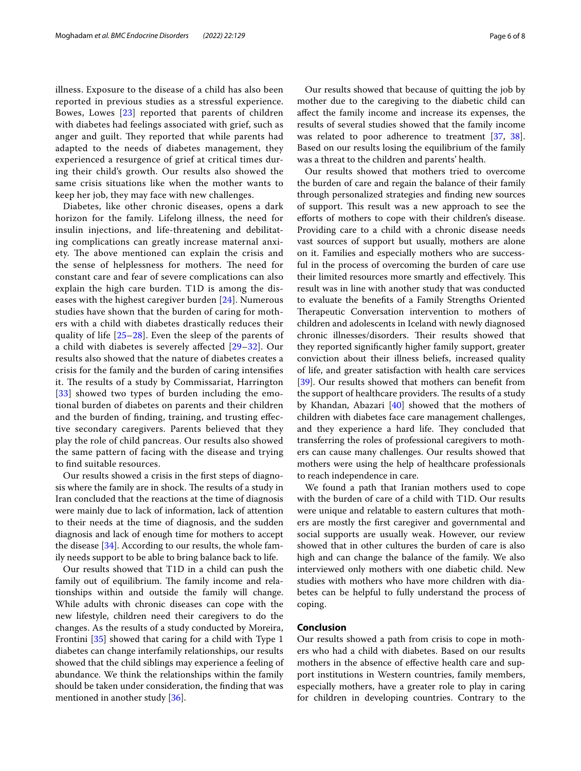illness. Exposure to the disease of a child has also been reported in previous studies as a stressful experience. Bowes, Lowes [[23\]](#page-7-4) reported that parents of children with diabetes had feelings associated with grief, such as anger and guilt. They reported that while parents had adapted to the needs of diabetes management, they experienced a resurgence of grief at critical times during their child's growth. Our results also showed the same crisis situations like when the mother wants to keep her job, they may face with new challenges.

Diabetes, like other chronic diseases, opens a dark horizon for the family. Lifelong illness, the need for insulin injections, and life-threatening and debilitating complications can greatly increase maternal anxiety. The above mentioned can explain the crisis and the sense of helplessness for mothers. The need for constant care and fear of severe complications can also explain the high care burden. T1D is among the diseases with the highest caregiver burden [[24](#page-7-5)]. Numerous studies have shown that the burden of caring for mothers with a child with diabetes drastically reduces their quality of life [[25–](#page-7-6)[28](#page-7-7)]. Even the sleep of the parents of a child with diabetes is severely afected [[29–](#page-7-8)[32](#page-7-9)]. Our results also showed that the nature of diabetes creates a crisis for the family and the burden of caring intensifes it. The results of a study by Commissariat, Harrington [[33](#page-7-10)] showed two types of burden including the emotional burden of diabetes on parents and their children and the burden of fnding, training, and trusting efective secondary caregivers. Parents believed that they play the role of child pancreas. Our results also showed the same pattern of facing with the disease and trying to fnd suitable resources.

Our results showed a crisis in the frst steps of diagnosis where the family are in shock. The results of a study in Iran concluded that the reactions at the time of diagnosis were mainly due to lack of information, lack of attention to their needs at the time of diagnosis, and the sudden diagnosis and lack of enough time for mothers to accept the disease [[34\]](#page-7-11). According to our results, the whole family needs support to be able to bring balance back to life.

Our results showed that T1D in a child can push the family out of equilibrium. The family income and relationships within and outside the family will change. While adults with chronic diseases can cope with the new lifestyle, children need their caregivers to do the changes. As the results of a study conducted by Moreira, Frontini [\[35](#page-7-12)] showed that caring for a child with Type 1 diabetes can change interfamily relationships, our results showed that the child siblings may experience a feeling of abundance. We think the relationships within the family should be taken under consideration, the fnding that was mentioned in another study [[36](#page-7-13)].

Our results showed that because of quitting the job by mother due to the caregiving to the diabetic child can afect the family income and increase its expenses, the results of several studies showed that the family income was related to poor adherence to treatment [\[37,](#page-7-14) [38](#page-7-15)]. Based on our results losing the equilibrium of the family was a threat to the children and parents' health.

Our results showed that mothers tried to overcome the burden of care and regain the balance of their family through personalized strategies and fnding new sources of support. This result was a new approach to see the eforts of mothers to cope with their children's disease. Providing care to a child with a chronic disease needs vast sources of support but usually, mothers are alone on it. Families and especially mothers who are successful in the process of overcoming the burden of care use their limited resources more smartly and effectively. This result was in line with another study that was conducted to evaluate the benefts of a Family Strengths Oriented Therapeutic Conversation intervention to mothers of children and adolescents in Iceland with newly diagnosed chronic illnesses/disorders. Their results showed that they reported signifcantly higher family support, greater conviction about their illness beliefs, increased quality of life, and greater satisfaction with health care services [[39\]](#page-7-16). Our results showed that mothers can benefit from the support of healthcare providers. The results of a study by Khandan, Abazari [[40\]](#page-7-17) showed that the mothers of children with diabetes face care management challenges, and they experience a hard life. They concluded that transferring the roles of professional caregivers to mothers can cause many challenges. Our results showed that mothers were using the help of healthcare professionals to reach independence in care.

We found a path that Iranian mothers used to cope with the burden of care of a child with T1D. Our results were unique and relatable to eastern cultures that mothers are mostly the frst caregiver and governmental and social supports are usually weak. However, our review showed that in other cultures the burden of care is also high and can change the balance of the family. We also interviewed only mothers with one diabetic child. New studies with mothers who have more children with diabetes can be helpful to fully understand the process of coping.

# **Conclusion**

Our results showed a path from crisis to cope in mothers who had a child with diabetes. Based on our results mothers in the absence of efective health care and support institutions in Western countries, family members, especially mothers, have a greater role to play in caring for children in developing countries. Contrary to the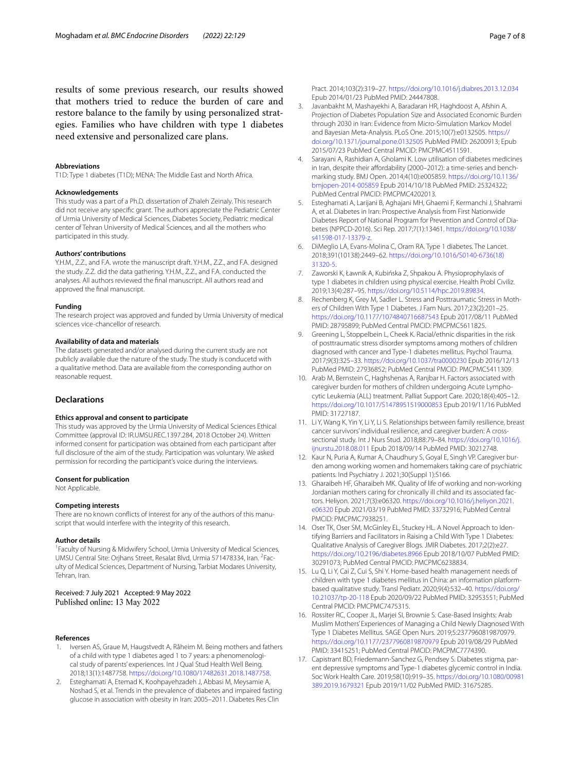results of some previous research, our results showed that mothers tried to reduce the burden of care and restore balance to the family by using personalized strategies. Families who have children with type 1 diabetes need extensive and personalized care plans.

#### **Abbreviations**

T1D: Type 1 diabetes (T1D); MENA: The Middle East and North Africa.

#### **Acknowledgements**

This study was a part of a Ph.D. dissertation of Zhaleh Zeinaly. This research did not receive any specifc grant. The authors appreciate the Pediatric Center of Urmia University of Medical Sciences, Diabetes Society, Pediatric medical center of Tehran University of Medical Sciences, and all the mothers who participated in this study.

#### **Authors' contributions**

Y.H.M., Z.Z., and F.A. wrote the manuscript draft. Y.H.M., Z.Z., and F.A. designed the study. Z.Z. did the data gathering. Y.H.M., Z.Z., and F.A. conducted the analyses. All authors reviewed the fnal manuscript. All authors read and approved the fnal manuscript.

#### **Funding**

The research project was approved and funded by Urmia University of medical sciences vice-chancellor of research.

#### **Availability of data and materials**

The datasets generated and/or analysed during the current study are not publicly available due the nature of the study. The study is conducetd with a qualitative method. Data are available from the corresponding author on reasonable request.

#### **Declarations**

#### **Ethics approval and consent to participate**

This study was approved by the Urmia University of Medical Sciences Ethical Committee (approval ID: IR.UMSU.REC.1397.284, 2018 October 24). Written informed consent for participation was obtained from each participant after full disclosure of the aim of the study. Participation was voluntary. We asked permission for recording the participant's voice during the interviews.

# **Consent for publication**

Not Applicable.

#### **Competing interests**

There are no known conficts of interest for any of the authors of this manuscript that would interfere with the integrity of this research.

#### **Author details**

<sup>1</sup> Faculty of Nursing & Midwifery School, Urmia University of Medical Sciences, UMSU Central Site: Orjhans Street, Resalat Blvd, Urmia 571478334, Iran. <sup>2</sup>Faculty of Medical Sciences, Department of Nursing, Tarbiat Modares University, Tehran, Iran.

### Received: 7 July 2021 Accepted: 9 May 2022 Published online: 13 May 2022

#### **References**

- <span id="page-6-0"></span>Iversen AS, Graue M, Haugstvedt A, Råheim M. Being mothers and fathers of a child with type 1 diabetes aged 1 to 7 years: a phenomenological study of parents' experiences. Int J Qual Stud Health Well Being. 2018;13(1):1487758.<https://doi.org/10.1080/17482631.2018.1487758>.
- <span id="page-6-1"></span>2. Esteghamati A, Etemad K, Koohpayehzadeh J, Abbasi M, Meysamie A, Noshad S, et al. Trends in the prevalence of diabetes and impaired fasting glucose in association with obesity in Iran: 2005–2011. Diabetes Res Clin

Pract. 2014;103(2):319–27. <https://doi.org/10.1016/j.diabres.2013.12.034> Epub 2014/01/23 PubMed PMID: 24447808.

- <span id="page-6-2"></span>3. Javanbakht M, Mashayekhi A, Baradaran HR, Haghdoost A, Afshin A. Projection of Diabetes Population Size and Associated Economic Burden through 2030 in Iran: Evidence from Micro-Simulation Markov Model and Bayesian Meta-Analysis. PLoS One. 2015;10(7):e0132505. [https://](https://doi.org/10.1371/journal.pone.0132505) [doi.org/10.1371/journal.pone.0132505](https://doi.org/10.1371/journal.pone.0132505) PubMed PMID: 26200913; Epub 2015/07/23 PubMed Central PMCID: PMCPMC4511591.
- <span id="page-6-3"></span>Sarayani A, Rashidian A, Gholami K. Low utilisation of diabetes medicines in Iran, despite their affordability (2000–2012): a time-series and benchmarking study. BMJ Open. 2014;4(10):e005859. [https://doi.org/10.1136/](https://doi.org/10.1136/bmjopen-2014-005859) [bmjopen-2014-005859](https://doi.org/10.1136/bmjopen-2014-005859) Epub 2014/10/18 PubMed PMID: 25324322; PubMed Central PMCID: PMCPMC4202013.
- <span id="page-6-4"></span>5. Esteghamati A, Larijani B, Aghajani MH, Ghaemi F, Kermanchi J, Shahrami A, et al. Diabetes in Iran: Prospective Analysis from First Nationwide Diabetes Report of National Program for Prevention and Control of Diabetes (NPPCD-2016). Sci Rep. 2017;7(1):13461. [https://doi.org/10.1038/](https://doi.org/10.1038/s41598-017-13379-z) [s41598-017-13379-z.](https://doi.org/10.1038/s41598-017-13379-z)
- <span id="page-6-5"></span>6. DiMeglio LA, Evans-Molina C, Oram RA. Type 1 diabetes. The Lancet. 2018;391(10138):2449–62. [https://doi.org/10.1016/S0140-6736\(18\)](https://doi.org/10.1016/S0140-6736(18)31320-5) [31320-5.](https://doi.org/10.1016/S0140-6736(18)31320-5)
- <span id="page-6-6"></span>7. Zaworski K, Ławnik A, Kubińska Z, Shpakou A. Physioprophylaxis of type 1 diabetes in children using physical exercise. Health Probl Civiliz. 2019;13(4):287–95. [https://doi.org/10.5114/hpc.2019.89834.](https://doi.org/10.5114/hpc.2019.89834)
- <span id="page-6-7"></span>8. Rechenberg K, Grey M, Sadler L. Stress and Posttraumatic Stress in Mothers of Children With Type 1 Diabetes. J Fam Nurs. 2017;23(2):201–25. <https://doi.org/10.1177/1074840716687543> Epub 2017/08/11 PubMed PMID: 28795899; PubMed Central PMCID: PMCPMC5611825.
- <span id="page-6-8"></span>9. Greening L, Stoppelbein L, Cheek K. Racial/ethnic disparities in the risk of posttraumatic stress disorder symptoms among mothers of children diagnosed with cancer and Type-1 diabetes mellitus. Psychol Trauma. 2017;9(3):325–33.<https://doi.org/10.1037/tra0000230>Epub 2016/12/13 PubMed PMID: 27936852; PubMed Central PMCID: PMCPMC5411309.
- <span id="page-6-9"></span>10. Arab M, Bernstein C, Haghshenas A, Ranjbar H. Factors associated with caregiver burden for mothers of children undergoing Acute Lymphocytic Leukemia (ALL) treatment. Palliat Support Care. 2020;18(4):405–12. <https://doi.org/10.1017/S1478951519000853>Epub 2019/11/16 PubMed PMID: 31727187.
- <span id="page-6-10"></span>11. Li Y, Wang K, Yin Y, Li Y, Li S. Relationships between family resilience, breast cancer survivors' individual resilience, and caregiver burden: A crosssectional study. Int J Nurs Stud. 2018;88:79–84. [https://doi.org/10.1016/j.](https://doi.org/10.1016/j.ijnurstu.2018.08.011) [ijnurstu.2018.08.011](https://doi.org/10.1016/j.ijnurstu.2018.08.011) Epub 2018/09/14 PubMed PMID: 30212748.
- <span id="page-6-11"></span>12. Kaur N, Puria A, Kumar A, Chaudhury S, Goyal E, Singh VP. Caregiver burden among working women and homemakers taking care of psychiatric patients. Ind Psychiatry J. 2021;30(Suppl 1):S166.
- <span id="page-6-12"></span>13. Gharaibeh HF, Gharaibeh MK. Quality of life of working and non-working Jordanian mothers caring for chronically ill child and its associated factors. Heliyon. 2021;7(3):e06320. [https://doi.org/10.1016/j.heliyon.2021.](https://doi.org/10.1016/j.heliyon.2021.e06320) [e06320](https://doi.org/10.1016/j.heliyon.2021.e06320) Epub 2021/03/19 PubMed PMID: 33732916; PubMed Central PMCID: PMCPMC7938251.
- <span id="page-6-13"></span>14. Oser TK, Oser SM, McGinley EL, Stuckey HL. A Novel Approach to Identifying Barriers and Facilitators in Raising a Child With Type 1 Diabetes: Qualitative Analysis of Caregiver Blogs. JMIR Diabetes. 2017;2(2):e27. <https://doi.org/10.2196/diabetes.8966>Epub 2018/10/07 PubMed PMID: 30291073; PubMed Central PMCID: PMCPMC6238834.
- <span id="page-6-14"></span>15. Lu Q, Li Y, Cai Z, Cui S, Shi Y. Home-based health management needs of children with type 1 diabetes mellitus in China: an information platformbased qualitative study. Transl Pediatr. 2020;9(4):532–40. [https://doi.org/](https://doi.org/10.21037/tp-20-118) [10.21037/tp-20-118](https://doi.org/10.21037/tp-20-118) Epub 2020/09/22 PubMed PMID: 32953551; PubMed Central PMCID: PMCPMC7475315.
- <span id="page-6-15"></span>16. Rossiter RC, Cooper JL, Marjei SI, Brownie S. Case-Based Insights: Arab Muslim Mothers' Experiences of Managing a Child Newly Diagnosed With Type 1 Diabetes Mellitus. SAGE Open Nurs. 2019;5:2377960819870979. <https://doi.org/10.1177/2377960819870979> Epub 2019/08/29 PubMed PMID: 33415251; PubMed Central PMCID: PMCPMC7774390.
- <span id="page-6-16"></span>17. Capistrant BD, Friedemann-Sanchez G, Pendsey S. Diabetes stigma, parent depressive symptoms and Type-1 diabetes glycemic control in India. Soc Work Health Care. 2019;58(10):919–35. [https://doi.org/10.1080/00981](https://doi.org/10.1080/00981389.2019.1679321) [389.2019.1679321](https://doi.org/10.1080/00981389.2019.1679321) Epub 2019/11/02 PubMed PMID: 31675285.